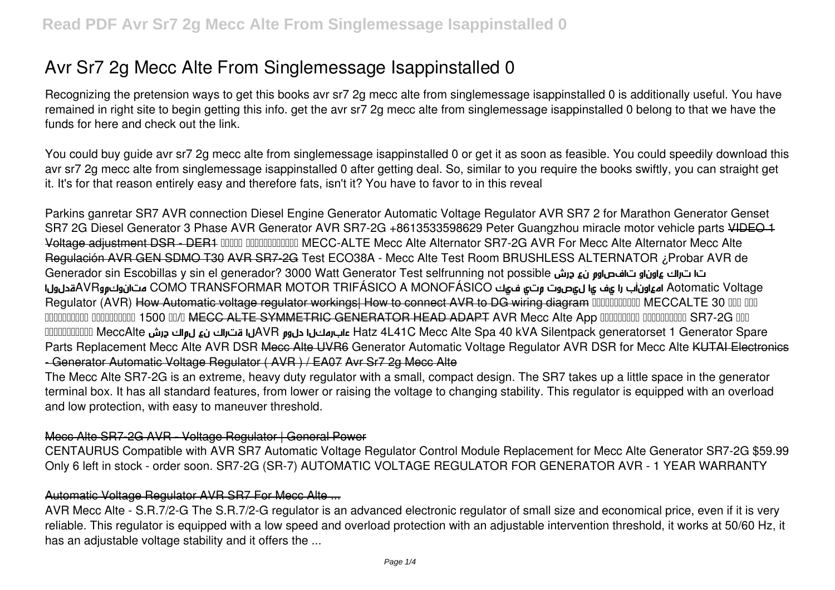# Avr Sr7 2g Mecc Alte From Singlemessage Isappinstalled 0

Recognizing the pretension ways to get this books avr sr7 2g mecc alte from singlemessage isappinstalled 0 is additionally useful. You have remained in right site to begin getting this info. get the avr sr7 2g mecc alte from singlemessage isappinstalled 0 belong to that we have the funds for here and check out the link.

You could buy guide avr sr7 2g mecc alte from singlemessage isappinstalled 0 or get it as soon as feasible. You could speedily download this avr sr7 2g mecc alte from singlemessage isappinstalled 0 after getting deal. So, similar to you require the books swiftly, you can straight get it. It's for that reason entirely easy and therefore fats, isn't it? You have to favor to in this reveal

Parkins ganretar SR7 AVR connection Diesel Engine Generator Automatic Voltage Regulator AVR SR7 2 for Marathon Generator Genset SR7 2G Diesel Generator 3 Phase AVR Generator AVR SR7-2G +8613533598629 Peter Guangzhou miracle motor vehicle parts VIDEO 1 Voltage adjustment DSR - DER1 0000 0000000000 MECC-ALTE Mecc Alte Alternator SR7-2G AVR For Mecc Alte Alternator Mecc Alte Requlación AVR GEN SDMO T30 AVR SR7-2G Test ECO38A - Mecc Alte Test Room BRUSHLESS ALTERNATOR ¿Probar AVR de ت ات الله عاون او بن مع العام العام العام العام Generador sin Escobillas y sin el generador? 3000 Watt Generator Test selfrunning not possible Aotomatic Voltage اهءاوناب را عف يا لءصوت متى فيك AVRعواوناب المنافس AVR متانوكون COMO TRANSFORMAR MOTOR TRIFÁSICO A MONOFÁSICO Requiator (AVR) How Automatic voltage requiator workings. How to connect AVR to DG wiring diagram DUDDDDDDDD MECCALTE 30 DDD DDD 0000000000 0000000000 1500 00/0 MECC ALTE SYMMETRIC GENERATOR HEAD ADAPT AVR Mecc Alte App 000000000 000000000 SR7-2G 000 Hatz 4L41C Mecc Alte Spa 40 kVA Silentpack generatorset 1 Generator Spare عابرمكن بالكام المستراك نع ل واك درش DDDDDDDD و الك من المصري المستراك بن عليه المستراك بن عليه المستراك بن عليه المستراك بن عليه المستراك بن المست Parts Replacement Mecc Alte AVR DSR Mecc Alte UVR6 Generator Automatic Voltage Regulator AVR DSR for Mecc Alte KUTAI Electronics -Generator Automatic Voltage Regulator (AVR) / EA07 Avr Sr7 2g Mecc Alte

The Mecc Alte SR7-2G is an extreme, heavy duty regulator with a small, compact design. The SR7 takes up a little space in the generator terminal box. It has all standard features, from lower or raising the voltage to changing stability. This regulator is equipped with an overload and low protection, with easy to maneuver threshold.

### Mecc Alte SR7-2G AVR - Voltage Regulator | General Power

CENTAURUS Compatible with AVR SR7 Automatic Voltage Regulator Control Module Replacement for Mecc Alte Generator SR7-2G \$59.99 Only 6 left in stock - order soon. SR7-2G (SR-7) AUTOMATIC VOLTAGE REGULATOR FOR GENERATOR AVR - 1 YEAR WARRANTY

### Automatic Voltage Regulator AVR SR7 For Mecc Alte ...

AVR Mecc Alte - S.R.7/2-G The S.R.7/2-G regulator is an advanced electronic regulator of small size and economical price, even if it is very reliable. This regulator is equipped with a low speed and overload protection with an adjustable intervention threshold, it works at 50/60 Hz, it has an adjustable voltage stability and it offers the ...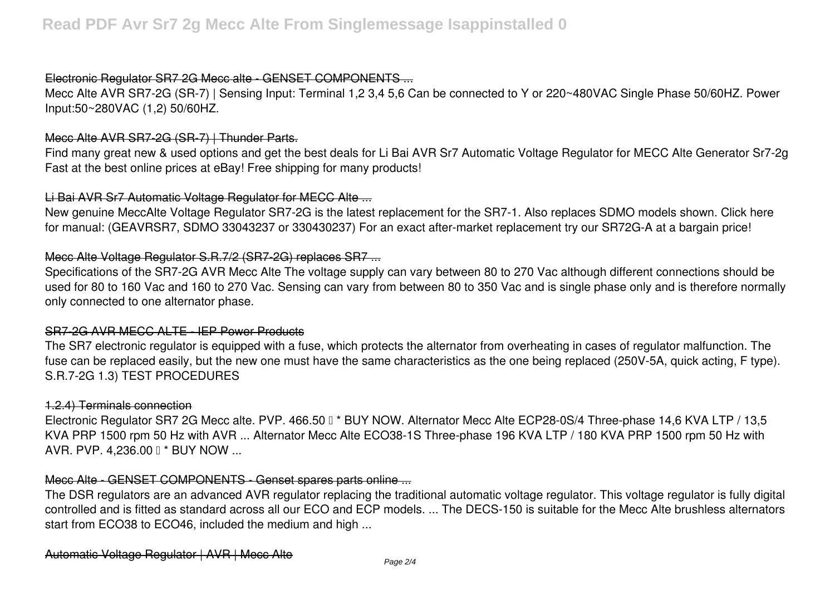# Electronic Regulator SR7 2G Mecc alte - GENSET COMPONENTS ...

Mecc Alte AVR SR7-2G (SR-7) | Sensing Input: Terminal 1,2 3,4 5,6 Can be connected to Y or 220~480VAC Single Phase 50/60HZ. Power Input:50~280VAC (1,2) 50/60HZ.

### Mecc Alte AVR SR7-2G (SR-7) | Thunder Parts.

Find many great new & used options and get the best deals for Li Bai AVR Sr7 Automatic Voltage Regulator for MECC Alte Generator Sr7-2g Fast at the best online prices at eBay! Free shipping for many products!

### Li Bai AVR Sr7 Automatic Voltage Regulator for MECC Alte ...

New genuine MeccAlte Voltage Regulator SR7-2G is the latest replacement for the SR7-1. Also replaces SDMO models shown. Click here for manual: (GEAVRSR7, SDMO 33043237 or 330430237) For an exact after-market replacement try our SR72G-A at a bargain price!

# Mecc Alte Voltage Regulator S.R.7/2 (SR7-2G) replaces SR7 ...

Specifications of the SR7-2G AVR Mecc Alte The voltage supply can vary between 80 to 270 Vac although different connections should be used for 80 to 160 Vac and 160 to 270 Vac. Sensing can vary from between 80 to 350 Vac and is single phase only and is therefore normally only connected to one alternator phase.

### SR7-2G AVR MECC ALTE - IEP Power Products

The SR7 electronic regulator is equipped with a fuse, which protects the alternator from overheating in cases of regulator malfunction. The fuse can be replaced easily, but the new one must have the same characteristics as the one being replaced (250V-5A, quick acting, F type). S.R.7-2G 1.3) TEST PROCEDURES

### 1.2.4) Terminals connection

Electronic Requlator SR7 2G Mecc alte. PVP. 466.50  $0$  \* BUY NOW. Alternator Mecc Alte ECP28-0S/4 Three-phase 14,6 KVA LTP / 13,5 KVA PRP 1500 rpm 50 Hz with AVR ... Alternator Mecc Alte ECO38-1S Three-phase 196 KVA LTP / 180 KVA PRP 1500 rpm 50 Hz with AVR. PVP. 4,236.00 **Ⅰ \* BUY NOW ...** 

### Mecc Alte - GENSET COMPONENTS - Genset spares parts online ...

The DSR regulators are an advanced AVR regulator replacing the traditional automatic voltage regulator. This voltage regulator is fully digital controlled and is fitted as standard across all our ECO and ECP models. ... The DECS-150 is suitable for the Mecc Alte brushless alternators start from ECO38 to ECO46, included the medium and high ...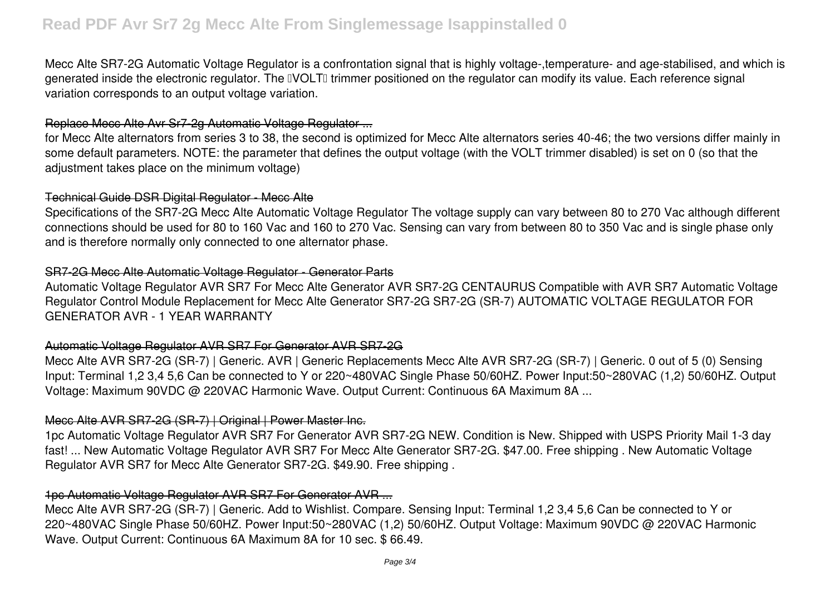# **Read PDF Avr Sr7 2g Mecc Alte From Singlemessage Isappinstalled 0**

Mecc Alte SR7-2G Automatic Voltage Regulator is a confrontation signal that is highly voltage-,temperature- and age-stabilised, and which is generated inside the electronic regulator. The IVOLTI trimmer positioned on the regulator can modify its value. Each reference signal variation corresponds to an output voltage variation.

## Replace Mecc Alte Avr Sr7-2g Automatic Voltage Regulator ...

for Mecc Alte alternators from series 3 to 38, the second is optimized for Mecc Alte alternators series 40-46; the two versions differ mainly in some default parameters. NOTE: the parameter that defines the output voltage (with the VOLT trimmer disabled) is set on 0 (so that the adjustment takes place on the minimum voltage)

### Technical Guide DSR Digital Regulator - Mecc Alte

Specifications of the SR7-2G Mecc Alte Automatic Voltage Regulator The voltage supply can vary between 80 to 270 Vac although different connections should be used for 80 to 160 Vac and 160 to 270 Vac. Sensing can vary from between 80 to 350 Vac and is single phase only and is therefore normally only connected to one alternator phase.

### SR7-2G Mecc Alte Automatic Voltage Regulator - Generator Parts

Automatic Voltage Regulator AVR SR7 For Mecc Alte Generator AVR SR7-2G CENTAURUS Compatible with AVR SR7 Automatic Voltage Regulator Control Module Replacement for Mecc Alte Generator SR7-2G SR7-2G (SR-7) AUTOMATIC VOLTAGE REGULATOR FOR GENERATOR AVR - 1 YEAR WARRANTY

### Automatic Voltage Regulator AVR SR7 For Generator AVR SR7-2G

Mecc Alte AVR SR7-2G (SR-7) | Generic. AVR | Generic Replacements Mecc Alte AVR SR7-2G (SR-7) | Generic. 0 out of 5 (0) Sensing Input: Terminal 1,2 3,4 5,6 Can be connected to Y or 220~480VAC Single Phase 50/60HZ. Power Input:50~280VAC (1,2) 50/60HZ. Output Voltage: Maximum 90VDC @ 220VAC Harmonic Wave. Output Current: Continuous 6A Maximum 8A ...

### Mecc Alte AVR SR7-2G (SR-7) | Original | Power Master Inc.

1pc Automatic Voltage Regulator AVR SR7 For Generator AVR SR7-2G NEW. Condition is New. Shipped with USPS Priority Mail 1-3 day fast! ... New Automatic Voltage Regulator AVR SR7 For Mecc Alte Generator SR7-2G. \$47.00. Free shipping . New Automatic Voltage Regulator AVR SR7 for Mecc Alte Generator SR7-2G. \$49.90. Free shipping .

# 1pc Automatic Voltage Regulator AVR SR7 For Generator AVR ...

Mecc Alte AVR SR7-2G (SR-7) | Generic. Add to Wishlist. Compare. Sensing Input: Terminal 1,2 3,4 5,6 Can be connected to Y or 220~480VAC Single Phase 50/60HZ. Power Input:50~280VAC (1,2) 50/60HZ. Output Voltage: Maximum 90VDC @ 220VAC Harmonic Wave. Output Current: Continuous 6A Maximum 8A for 10 sec. \$ 66.49.